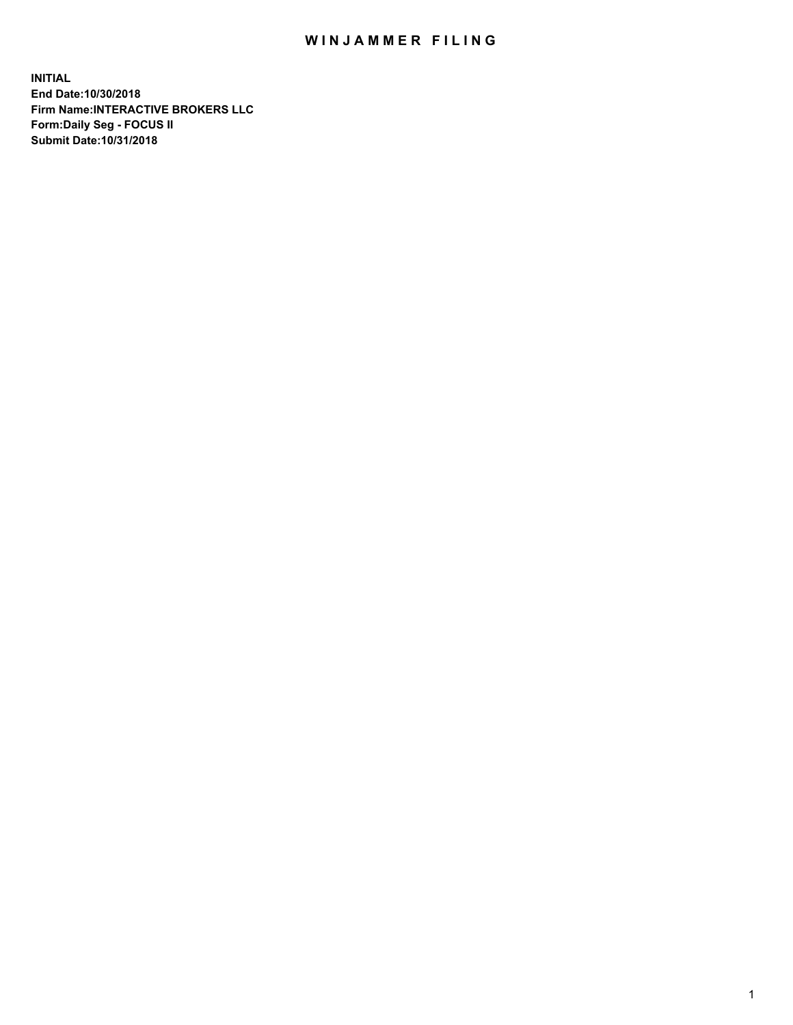## WIN JAMMER FILING

**INITIAL End Date:10/30/2018 Firm Name:INTERACTIVE BROKERS LLC Form:Daily Seg - FOCUS II Submit Date:10/31/2018**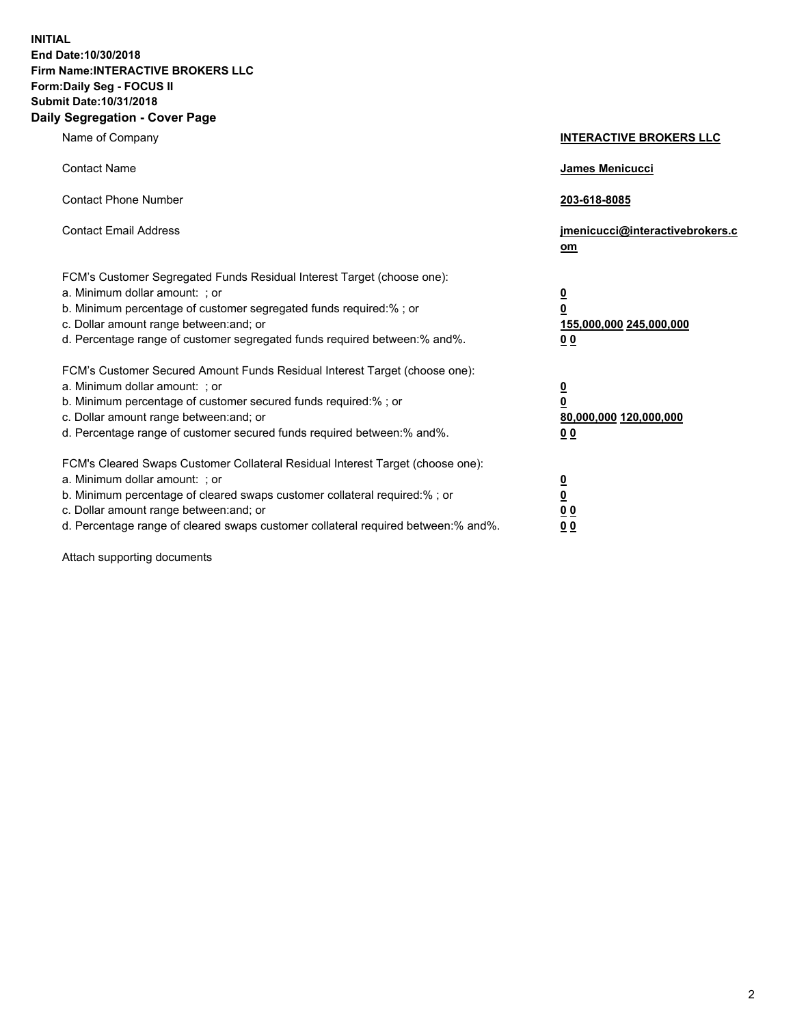**INITIAL End Date:10/30/2018 Firm Name:INTERACTIVE BROKERS LLC Form:Daily Seg - FOCUS II Submit Date:10/31/2018 Daily Segregation - Cover Page**

| Name of Company                                                                                                                                                                                                                                                                                                                | <b>INTERACTIVE BROKERS LLC</b>                                                                  |
|--------------------------------------------------------------------------------------------------------------------------------------------------------------------------------------------------------------------------------------------------------------------------------------------------------------------------------|-------------------------------------------------------------------------------------------------|
| <b>Contact Name</b>                                                                                                                                                                                                                                                                                                            | James Menicucci                                                                                 |
| <b>Contact Phone Number</b>                                                                                                                                                                                                                                                                                                    | 203-618-8085                                                                                    |
| <b>Contact Email Address</b>                                                                                                                                                                                                                                                                                                   | jmenicucci@interactivebrokers.c<br>om                                                           |
| FCM's Customer Segregated Funds Residual Interest Target (choose one):<br>a. Minimum dollar amount: ; or<br>b. Minimum percentage of customer segregated funds required:%; or<br>c. Dollar amount range between: and; or<br>d. Percentage range of customer segregated funds required between:% and%.                          | $\overline{\mathbf{0}}$<br>$\overline{\mathbf{0}}$<br>155,000,000 245,000,000<br>0 <sub>0</sub> |
| FCM's Customer Secured Amount Funds Residual Interest Target (choose one):<br>a. Minimum dollar amount: ; or<br>b. Minimum percentage of customer secured funds required:% ; or<br>c. Dollar amount range between: and; or<br>d. Percentage range of customer secured funds required between:% and%.                           | $\overline{\mathbf{0}}$<br>$\overline{\mathbf{0}}$<br>80,000,000 120,000,000<br>0 <sub>0</sub>  |
| FCM's Cleared Swaps Customer Collateral Residual Interest Target (choose one):<br>a. Minimum dollar amount: ; or<br>b. Minimum percentage of cleared swaps customer collateral required:% ; or<br>c. Dollar amount range between: and; or<br>d. Percentage range of cleared swaps customer collateral required between:% and%. | $\overline{\mathbf{0}}$<br>$\underline{\mathbf{0}}$<br>0 <sub>0</sub><br>0 <sub>0</sub>         |

Attach supporting documents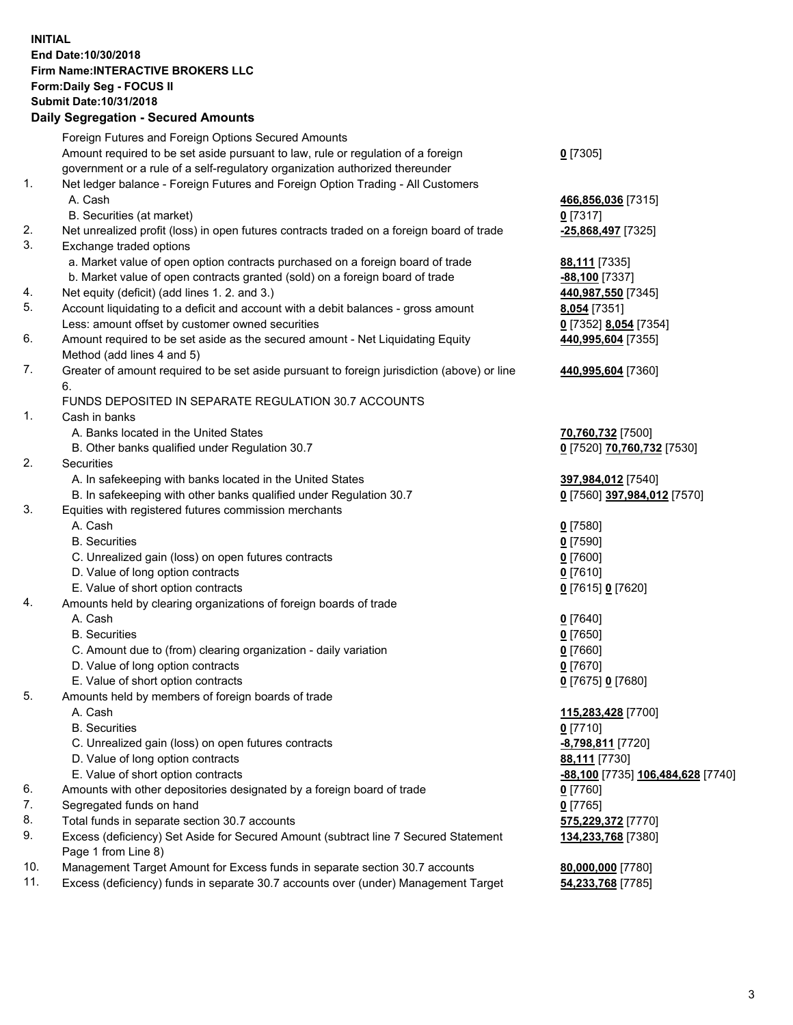## **INITIAL End Date:10/30/2018 Firm Name:INTERACTIVE BROKERS LLC Form:Daily Seg - FOCUS II Submit Date:10/31/2018 Daily Segregation - Secured Amounts**

|     | Dally Segregation - Secured Amounts                                                         |                                   |
|-----|---------------------------------------------------------------------------------------------|-----------------------------------|
|     | Foreign Futures and Foreign Options Secured Amounts                                         |                                   |
|     | Amount required to be set aside pursuant to law, rule or regulation of a foreign            | $0$ [7305]                        |
|     | government or a rule of a self-regulatory organization authorized thereunder                |                                   |
| 1.  | Net ledger balance - Foreign Futures and Foreign Option Trading - All Customers             |                                   |
|     | A. Cash                                                                                     | 466,856,036 [7315]                |
|     | B. Securities (at market)                                                                   | $0$ [7317]                        |
| 2.  | Net unrealized profit (loss) in open futures contracts traded on a foreign board of trade   | -25,868,497 [7325]                |
| 3.  | Exchange traded options                                                                     |                                   |
|     | a. Market value of open option contracts purchased on a foreign board of trade              | 88,111 [7335]                     |
|     | b. Market value of open contracts granted (sold) on a foreign board of trade                | -88,100 [7337]                    |
| 4.  | Net equity (deficit) (add lines 1. 2. and 3.)                                               | 440,987,550 [7345]                |
| 5.  | Account liquidating to a deficit and account with a debit balances - gross amount           | 8,054 [7351]                      |
|     | Less: amount offset by customer owned securities                                            | 0 [7352] 8,054 [7354]             |
| 6.  | Amount required to be set aside as the secured amount - Net Liquidating Equity              | 440,995,604 [7355]                |
|     | Method (add lines 4 and 5)                                                                  |                                   |
| 7.  | Greater of amount required to be set aside pursuant to foreign jurisdiction (above) or line | 440,995,604 [7360]                |
|     | 6.                                                                                          |                                   |
|     | FUNDS DEPOSITED IN SEPARATE REGULATION 30.7 ACCOUNTS                                        |                                   |
| 1.  | Cash in banks                                                                               |                                   |
|     | A. Banks located in the United States                                                       | 70,760,732 [7500]                 |
|     | B. Other banks qualified under Regulation 30.7                                              | 0 [7520] 70,760,732 [7530]        |
| 2.  | Securities                                                                                  |                                   |
|     | A. In safekeeping with banks located in the United States                                   | 397,984,012 [7540]                |
|     | B. In safekeeping with other banks qualified under Regulation 30.7                          | 0 [7560] 397,984,012 [7570]       |
| 3.  | Equities with registered futures commission merchants                                       |                                   |
|     | A. Cash                                                                                     | $0$ [7580]                        |
|     | <b>B.</b> Securities                                                                        | $0$ [7590]                        |
|     | C. Unrealized gain (loss) on open futures contracts                                         | $0$ [7600]                        |
|     | D. Value of long option contracts                                                           | $0$ [7610]                        |
|     | E. Value of short option contracts                                                          | 0 [7615] 0 [7620]                 |
| 4.  | Amounts held by clearing organizations of foreign boards of trade                           |                                   |
|     | A. Cash                                                                                     | $0$ [7640]                        |
|     | <b>B.</b> Securities                                                                        | $0$ [7650]                        |
|     | C. Amount due to (from) clearing organization - daily variation                             | $0$ [7660]                        |
|     | D. Value of long option contracts                                                           | $0$ [7670]                        |
|     | E. Value of short option contracts                                                          | 0 [7675] 0 [7680]                 |
| 5.  | Amounts held by members of foreign boards of trade                                          |                                   |
|     | A. Cash                                                                                     | 115,283,428 [7700]                |
|     | <b>B.</b> Securities                                                                        | $0$ [7710]                        |
|     | C. Unrealized gain (loss) on open futures contracts                                         | -8,798,811 [7720]                 |
|     | D. Value of long option contracts                                                           | 88,111 [7730]                     |
|     | E. Value of short option contracts                                                          | -88,100 [7735] 106,484,628 [7740] |
| 6.  | Amounts with other depositories designated by a foreign board of trade                      | $0$ [7760]                        |
| 7.  | Segregated funds on hand                                                                    | $0$ [7765]                        |
| 8.  | Total funds in separate section 30.7 accounts                                               | 575,229,372 [7770]                |
| 9.  | Excess (deficiency) Set Aside for Secured Amount (subtract line 7 Secured Statement         | 134,233,768 [7380]                |
|     | Page 1 from Line 8)                                                                         |                                   |
| 10. | Management Target Amount for Excess funds in separate section 30.7 accounts                 | 80,000,000 [7780]                 |
| 11. | Excess (deficiency) funds in separate 30.7 accounts over (under) Management Target          | 54,233,768 [7785]                 |
|     |                                                                                             |                                   |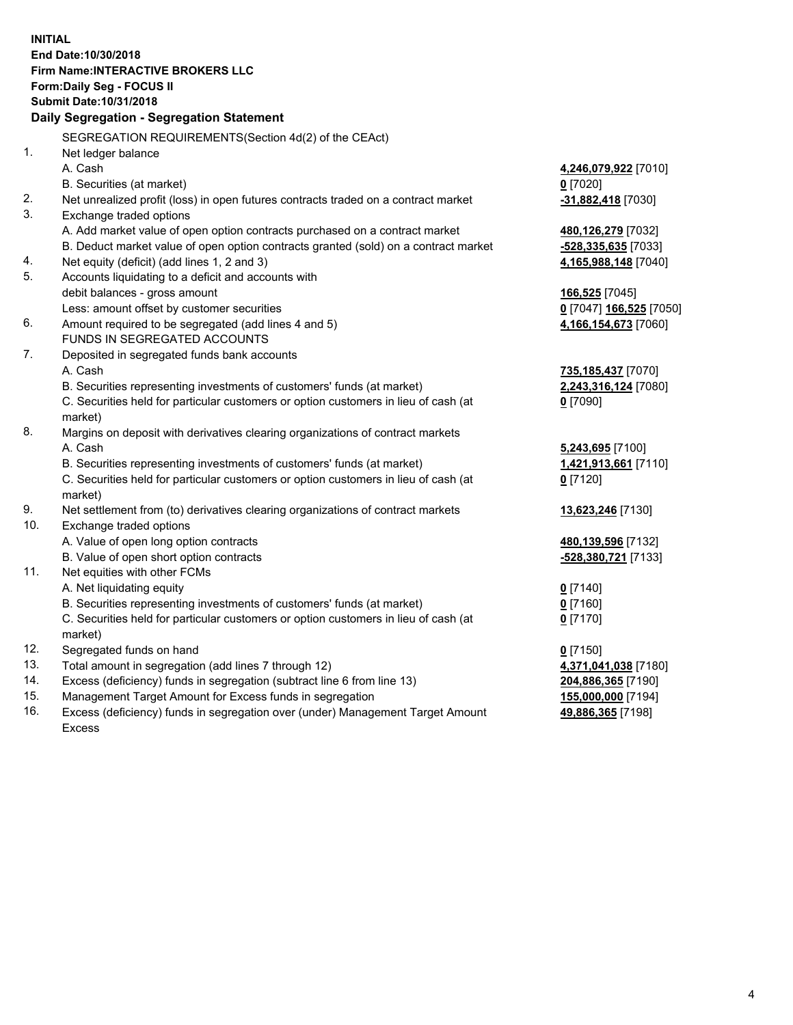**INITIAL End Date:10/30/2018 Firm Name:INTERACTIVE BROKERS LLC Form:Daily Seg - FOCUS II Submit Date:10/31/2018 Daily Segregation - Segregation Statement** SEGREGATION REQUIREMENTS(Section 4d(2) of the CEAct) 1. Net ledger balance A. Cash **4,246,079,922** [7010] B. Securities (at market) **0** [7020] 2. Net unrealized profit (loss) in open futures contracts traded on a contract market **-31,882,418** [7030] 3. Exchange traded options A. Add market value of open option contracts purchased on a contract market **480,126,279** [7032] B. Deduct market value of open option contracts granted (sold) on a contract market **-528,335,635** [7033] 4. Net equity (deficit) (add lines 1, 2 and 3) **4,165,988,148** [7040] 5. Accounts liquidating to a deficit and accounts with debit balances - gross amount **166,525** [7045] Less: amount offset by customer securities **0** [7047] **166,525** [7050] 6. Amount required to be segregated (add lines 4 and 5) **4,166,154,673** [7060] FUNDS IN SEGREGATED ACCOUNTS 7. Deposited in segregated funds bank accounts A. Cash **735,185,437** [7070] B. Securities representing investments of customers' funds (at market) **2,243,316,124** [7080] C. Securities held for particular customers or option customers in lieu of cash (at market) **0** [7090] 8. Margins on deposit with derivatives clearing organizations of contract markets A. Cash **5,243,695** [7100] B. Securities representing investments of customers' funds (at market) **1,421,913,661** [7110] C. Securities held for particular customers or option customers in lieu of cash (at market) **0** [7120] 9. Net settlement from (to) derivatives clearing organizations of contract markets **13,623,246** [7130] 10. Exchange traded options A. Value of open long option contracts **480,139,596** [7132] B. Value of open short option contracts **-528,380,721** [7133] 11. Net equities with other FCMs A. Net liquidating equity **0** [7140] B. Securities representing investments of customers' funds (at market) **0** [7160] C. Securities held for particular customers or option customers in lieu of cash (at market) **0** [7170] 12. Segregated funds on hand **0** [7150] 13. Total amount in segregation (add lines 7 through 12) **4,371,041,038** [7180] 14. Excess (deficiency) funds in segregation (subtract line 6 from line 13) **204,886,365** [7190] 15. Management Target Amount for Excess funds in segregation **155,000,000** [7194]

16. Excess (deficiency) funds in segregation over (under) Management Target Amount Excess

**49,886,365** [7198]